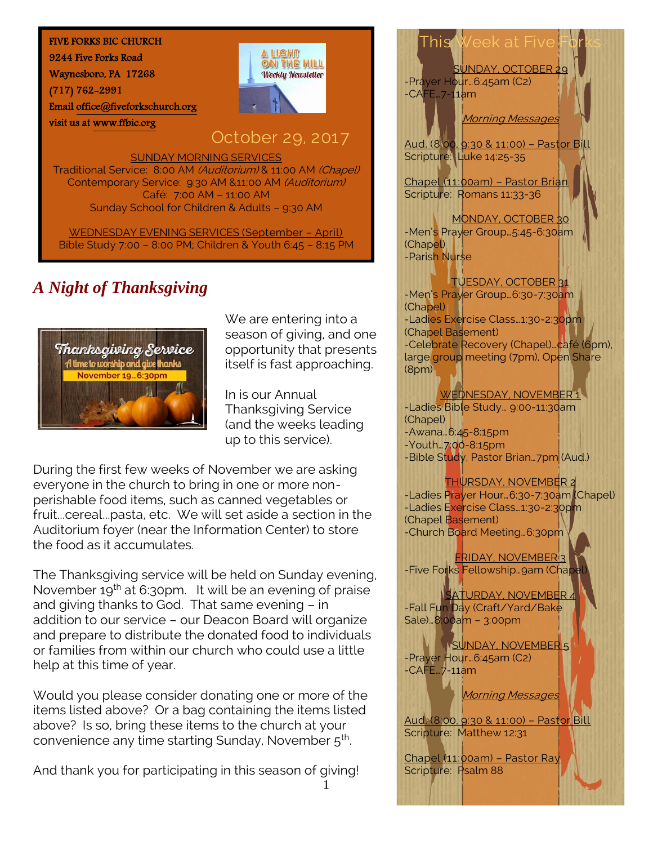#### FIVE FORKS BIC CHURCH

9244 Five Forks Road

Waynesboro, PA 17268

visit us at [www.ffbic.org](http://www.ffbic.org/) 

(717) 762-2991

Emai[l office@fiveforkschurch.org](mailto:office@fiveforkschurch.org) 



# October 29, 2017

SUNDAY MORNING SERVICES

Traditional Service: 8:00 AM (Auditorium) & 11:00 AM (Chapel) Contemporary Service: 9:30 AM &11:00 AM (Auditorium) Café: 7:00 AM – 11:00 AM Sunday School for Children & Adults – 9:30 AM

WEDNESDAY EVENING SERVICES (September – April) Bible Study 7:00 – 8:00 PM; Children & Youth 6:45 – 8:15 PM

# *A Night of Thanksgiving*



We are entering into a season of giving, and one opportunity that presents itself is fast approaching.

In is our Annual Thanksgiving Service (and the weeks leading up to this service).

During the first few weeks of November we are asking everyone in the church to bring in one or more nonperishable food items, such as canned vegetables or fruit...cereal...pasta, etc. We will set aside a section in the Auditorium foyer (near the Information Center) to store the food as it accumulates.

The Thanksgiving service will be held on Sunday evening, November  $19<sup>th</sup>$  at 6:30pm. It will be an evening of praise and giving thanks to God. That same evening – in addition to our service – our Deacon Board will organize and prepare to distribute the donated food to individuals or families from within our church who could use a little help at this time of year.

Would you please consider donating one or more of the items listed above? Or a bag containing the items listed above? Is so, bring these items to the church at your convenience any time starting Sunday, November 5<sup>th</sup>.

And thank you for participating in this season of giving!

# This Week at Fiv

SUNDAY, OCTOBER 29 -Prayer Hour…6:45am (C2) -CAFE…7-11am

Morning Messages

Aud. (8:00, 9:30 & 11:00) – Pastor Bill Scripture: Luke 14:25-35

Chapel (11:00am) – Pastor Brian Scripture: Romans 11:33-36

MONDAY, OCTOBER 30 -Men's Prayer Group…5:45-6:30am (Chapel) -Parish Nurse

### TUESDAY, OCTOBER 31

-Men's Prayer Group…6:30-7:30am (Chapel) -Ladies Exercise Class…1:30-2:30pm (Chapel Basement) -Celebrate Recovery (Chapel)…café (6pm), large group meeting (7pm), Open Share (8pm)

### WEDNESDAY, NOVEMBER 1

-Ladies Bible Study… 9:00-11:30am (Chapel) -Awana…6:45-8:15pm -Youth…7:00-8:15pm -Bible Study, Pastor Brian... 7pm (Aud.)

## THURSDAY, NOVEMBER 2

-Ladies Prayer Hour…6:30-7:30am (Chapel) -Ladies Exercise Class...1:30-2:30pm (Chapel Basement) -Church Board Meeting…6:30pm

FRIDAY, NOVEMBER 3 -Five Forks Fellowship…9am (Chapel)

SATURDAY, NOVEMBER 4 -Fall Fun Day (Craft/Yard/Bake Sale)…8:00am – 3:00pm

SUNDAY, NOVEMBER 5 -Prayer Hour…6:45am (C2) -CAFE…7-11am

Morning Messages

Aud. (8:00, 9:30 & 11:00) – Pastor Bill Scripture: Matthew 12:31

Chapel (11:00am) – Pastor Ray Scripture: Psalm 88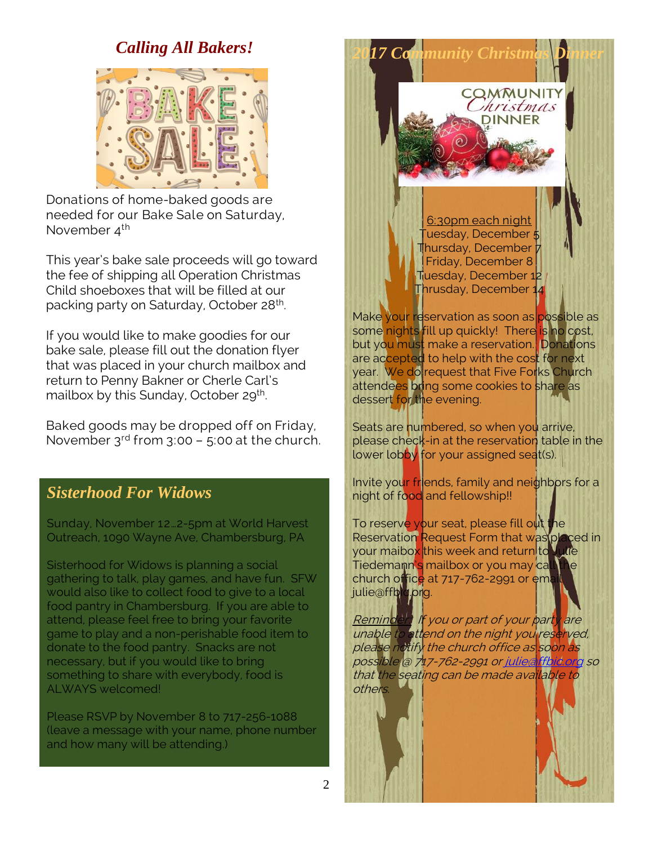## *Calling All Bakers!*



Donations of home-baked goods are needed for our Bake Sale on Saturday, November 4<sup>th</sup>

This year's bake sale proceeds will go toward the fee of shipping all Operation Christmas Child shoeboxes that will be filled at our packing party on Saturday, October 28<sup>th</sup>. .

If you would like to make goodies for our bake sale, please fill out the donation flyer that was placed in your church mailbox and return to Penny Bakner or Cherle Carl's mailbox by this Sunday, October 29<sup>th</sup>.

Baked goods may be dropped off on Friday, November  $3^{rd}$  from  $3:00 - 5:00$  at the church.

## *Sisterhood For Widows*

Sunday, November 12…2-5pm at World Harvest Outreach, 1090 Wayne Ave, Chambersburg, PA

Sisterhood for Widows is planning a social gathering to talk, play games, and have fun. SFW would also like to collect food to give to a local food pantry in Chambersburg. If you are able to attend, please feel free to bring your favorite game to play and a non-perishable food item to donate to the food pantry. Snacks are not necessary, but if you would like to bring something to share with everybody, food is ALWAYS welcomed!

Please RSVP by November 8 to 717-256-1088 (leave a message with your name, phone number and how many will be attending.)

6:30pm each night Tuesday, December 5 Thursday, December Friday, December 8 Tuesday, December 1 Thrusday, December 14

*2017 Community Christmas Dinner*

COMMUNIT hristmas **DINNER** 

Make your reservation as soon as possible as some nights fill up quickly! There is no cost, but you must make a reservation. Donations are accepted to help with the cost for next year. We do request that Five Forks Church attendees bring some cookies to share as dessert for the evening.

Seats are numbered, so when you arrive, please check-in at the reservation table in the lower lobby for your assigned seat(s).

Invite your friends, family and neighbors for a night of food and fellowship!!

To reserve your seat, please fill out the Reservation Request Form that was placed in your maibo<mark>x</mark> this week and return to **Juli**e Tiedemann's mailbox or you may call the church office at 717-762-2991 or email julie@ffbic.org.

Reminder: If you or part of your party are unable to attend on the night you reserved, please notify the church office as soon as possible @ 717-762-2991 or julied ffbid org so that the seating can be made available to others.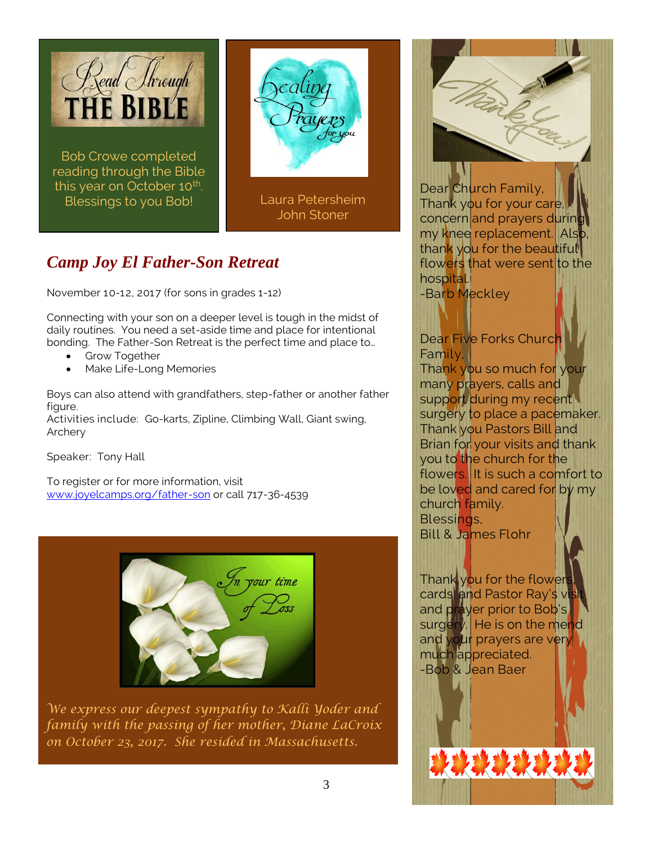

Bob Crowe completed reading through the Bible this year on October 10<sup>th</sup>. Blessings to you Bob!



Laura Petersheim John Stoner

# *Camp Joy El Father-Son Retreat*

November 10-12, 2017 (for sons in grades 1-12)

Connecting with your son on a deeper level is tough in the midst of daily routines. You need a set-aside time and place for intentional bonding. The Father-Son Retreat is the perfect time and place to…

- Grow Together
- Make Life-Long Memories

Boys can also attend with grandfathers, step-father or another father figure.

Activities include: Go-karts, Zipline, Climbing Wall, Giant swing, Archery

Speaker: Tony Hall

To register or for more information, visit [www.joyelcamps.org/father-son](http://www.joyelcamps.org/father-son) or call 717-36-4539



*We express our deepest sympathy to Kalli Yoder and family with the passing of her mother, Diane LaCroix on October 23, 2017. She resided in Massachusetts.* 



Dear Church Family, Thank you for your care, concern and prayers during my knee replacement. Also, thank you for the beautiful flowers that were sent to the hospital.

-Barb Meckley

## Dear Five Forks Church Family,

Thank you so much for your many prayers, calls and support during my recent surgery to place a pacemaker. Thank you Pastors Bill and Brian for your visits and thank you to the church for the flowers. It is such a comfort to be loved and cared for by my church family. Blessings,

Bill & James Flohr

Thank you for the flower cards, and Pastor Ray's vis and prayer prior to Bob's surgery. He is on the mend and your prayers are very much appreciated. -Bob & Jean Baer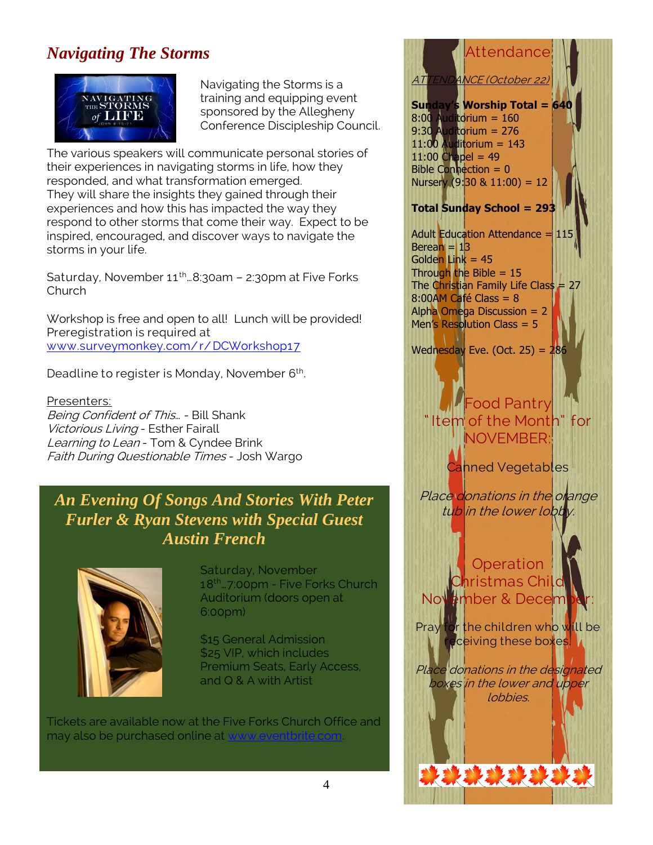# *Navigating The Storms*



Navigating the Storms is a training and equipping event sponsored by the Allegheny Conference Discipleship Council.

The various speakers will communicate personal stories of their experiences in navigating storms in life, how they responded, and what transformation emerged. They will share the insights they gained through their experiences and how this has impacted the way they respond to other storms that come their way. Expect to be inspired, encouraged, and discover ways to navigate the storms in your life.

Saturday, November  $11^{th}$ ...8:30am - 2:30pm at Five Forks Church

Workshop is free and open to all! Lunch will be provided! Preregistration is required at [www.surveymonkey.com/ r/ DCWorkshop17](http://www.surveymonkey.com/r/DCWorkshop17)

Deadline to register is Monday, November 6<sup>th</sup>. .

Presenters: Being Confident of This… - Bill Shank Victorious Living - Esther Fairall Learning to Lean - Tom & Cyndee Brink Faith During Questionable Times - Josh Wargo

## *An Evening Of Songs And Stories With Peter Furler & Ryan Stevens with Special Guest Austin French*



. .

Saturday, November 18th…7:00pm - Five Forks Church Auditorium (doors open at 6:00pm)

\$15 General Admission \$25 VIP, which includes Premium Seats, Early Access, and Q & A with Artist

Tickets are available now at the Five Forks Church Office and may also be purchased online at y

# **Attendance ATTENDANCE (October 2**

**Sunday's Worship Total = 640** 8:00 Auditorium = 160 9:30 Auditorium = 276 11:00 Auditorium = 143  $11:00$  Chapel = 49 Bible Connection =  $0$ Nursery  $(9.30 \& 11:00) = 12$ 

## **Total Sunday School = 293**

Adult Education Attendance  $=$  115 Berean  $=$  13 Golden Link  $= 45$ Through the Bible  $= 15$ The Christian Family Life Class =  $27$ 8:00AM Café Class = 8 Alpha Omega Discussion = 2 Men's Resolution Class = 5

Wednesday Eve. (Oct. 25) =  $286$ 

## Food Pantry " Item of the Month" for NOVEMBER:

Canned Vegetables

Place donations in the orange tub in the lower lobby.

**Operation** Christmas Child November & Decem

Pray for the children who will be receiving these boxes.

Place donations in the designated boxes in the lower and upper lobbies.

决决决决决决决决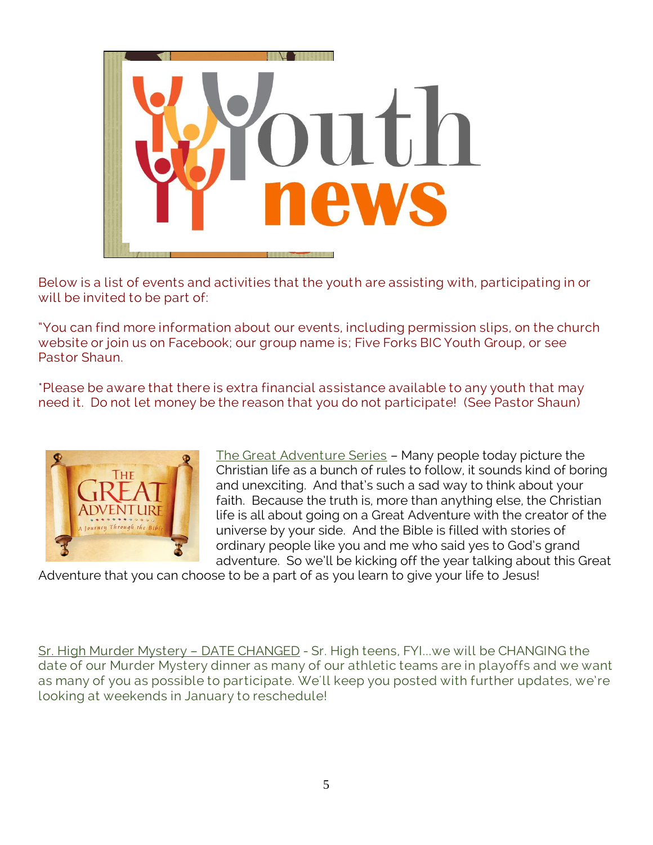

Below is a list of events and activities that the youth are assisting with, participating in or will be invited to be part of:

"You can find more information about our events, including permission slips, on the church website or join us on Facebook; our group name is; Five Forks BIC Youth Group, or see Pastor Shaun.

\*Please be aware that there is extra financial assistance available to any youth that may need it. Do not let money be the reason that you do not participate! (See Pastor Shaun)



The Great Adventure Series – Many people today picture the Christian life as a bunch of rules to follow, it sounds kind of boring and unexciting. And that's such a sad way to think about your faith. Because the truth is, more than anything else, the Christian life is all about going on a Great Adventure with the creator of the universe by your side. And the Bible is filled with stories of ordinary people like you and me who said yes to God's grand adventure. So we'll be kicking off the year talking about this Great

Adventure that you can choose to be a part of as you learn to give your life to Jesus!

Sr. High Murder Mystery - DATE CHANGED - Sr. High teens, FYI... we will be CHANGING the date of our Murder Mystery dinner as many of our athletic teams are in playoffs and we want as many of you as possible to participate. We'll keep you posted with further updates, we're looking at weekends in January to reschedule!